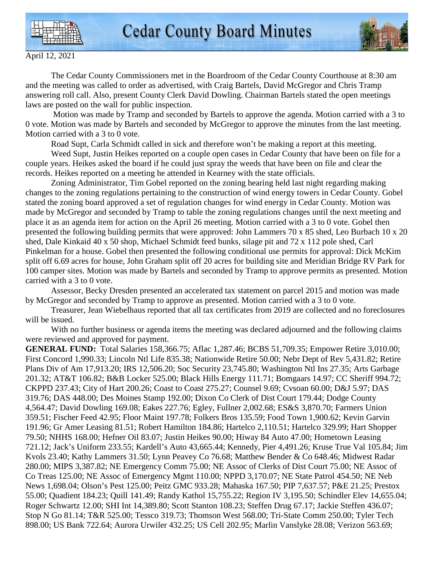



April 12, 2021

 The Cedar County Commissioners met in the Boardroom of the Cedar County Courthouse at 8:30 am and the meeting was called to order as advertised, with Craig Bartels, David McGregor and Chris Tramp answering roll call. Also, present County Clerk David Dowling. Chairman Bartels stated the open meetings laws are posted on the wall for public inspection.

 Motion was made by Tramp and seconded by Bartels to approve the agenda. Motion carried with a 3 to 0 vote. Motion was made by Bartels and seconded by McGregor to approve the minutes from the last meeting. Motion carried with a 3 to 0 vote.

Road Supt, Carla Schmidt called in sick and therefore won't be making a report at this meeting.

 Weed Supt, Justin Heikes reported on a couple open cases in Cedar County that have been on file for a couple years. Heikes asked the board if he could just spray the weeds that have been on file and clear the records. Heikes reported on a meeting he attended in Kearney with the state officials.

 Zoning Administrator, Tim Gobel reported on the zoning hearing held last night regarding making changes to the zoning regulations pertaining to the construction of wind energy towers in Cedar County. Gobel stated the zoning board approved a set of regulation changes for wind energy in Cedar County. Motion was made by McGregor and seconded by Tramp to table the zoning regulations changes until the next meeting and place it as an agenda item for action on the April 26 meeting. Motion carried with a 3 to 0 vote. Gobel then presented the following building permits that were approved: John Lammers 70 x 85 shed, Leo Burbach 10 x 20 shed, Dale Kinkaid 40 x 50 shop, Michael Schmidt feed bunks, silage pit and 72 x 112 pole shed, Carl Pinkelman for a house. Gobel then presented the following conditional use permits for approval: Dick McKim split off 6.69 acres for house, John Graham split off 20 acres for building site and Meridian Bridge RV Park for 100 camper sites. Motion was made by Bartels and seconded by Tramp to approve permits as presented. Motion carried with a 3 to 0 vote.

 Assessor, Becky Dresden presented an accelerated tax statement on parcel 2015 and motion was made by McGregor and seconded by Tramp to approve as presented. Motion carried with a 3 to 0 vote.

 Treasurer, Jean Wiebelhaus reported that all tax certificates from 2019 are collected and no foreclosures will be issued.

With no further business or agenda items the meeting was declared adjourned and the following claims were reviewed and approved for payment.

**GENERAL FUND:** Total Salaries 158,366.75; Aflac 1,287.46; BCBS 51,709.35; Empower Retire 3,010.00; First Concord 1,990.33; Lincoln Ntl Life 835.38; Nationwide Retire 50.00; Nebr Dept of Rev 5,431.82; Retire Plans Div of Am 17,913.20; IRS 12,506.20; Soc Security 23,745.80; Washington Ntl Ins 27.35; Arts Garbage 201.32; AT&T 106.82; B&B Locker 525.00; Black Hills Energy 111.71; Bomgaars 14.97; CC Sheriff 994.72; CKPPD 237.43; City of Hart 200.26; Coast to Coast 275.27; Counsel 9.69; Cvsoan 60.00; D&J 5.97; DAS 319.76; DAS 448.00; Des Moines Stamp 192.00; Dixon Co Clerk of Dist Court 179.44; Dodge County 4,564.47; David Dowling 169.08; Eakes 227.76; Egley, Fullner 2,002.68; ES&S 3,870.70; Farmers Union 359.51; Fischer Feed 42.95; Floor Maint 197.78; Folkers Bros 135.59; Food Town 1,900.62; Kevin Garvin 191.96; Gr Amer Leasing 81.51; Robert Hamilton 184.86; Hartelco 2,110.51; Hartelco 329.99; Hart Shopper 79.50; NHHS 168.00; Hefner Oil 83.07; Justin Heikes 90.00; Hiway 84 Auto 47.00; Hometown Leasing 721.12; Jack's Uniform 233.55; Kardell's Auto 43,665.44; Kennedy, Pier 4,491.26; Kruse True Val 105.84; Jim Kvols 23.40; Kathy Lammers 31.50; Lynn Peavey Co 76.68; Matthew Bender & Co 648.46; Midwest Radar 280.00; MIPS 3,387.82; NE Emergency Comm 75.00; NE Assoc of Clerks of Dist Court 75.00; NE Assoc of Co Treas 125.00; NE Assoc of Emergency Mgmt 110.00; NPPD 3,170.07; NE State Patrol 454.50; NE Neb News 1,698.04; Olson's Pest 125.00; Peitz GMC 933.28; Mahaska 167.50; PIP 7,637.57; P&E 21.25; Prestox 55.00; Quadient 184.23; Quill 141.49; Randy Kathol 15,755.22; Region IV 3,195.50; Schindler Elev 14,655.04; Roger Schwartz 12.00; SHI Int 14,389.80; Scott Stanton 108.23; Steffen Drug 67.17; Jackie Steffen 436.07; Stop N Go 81.14; T&R 525.00; Tessco 319.73; Thomson West 568.00; Tri-State Comm 250.00; Tyler Tech 898.00; US Bank 722.64; Aurora Urwiler 432.25; US Cell 202.95; Marlin Vanslyke 28.08; Verizon 563.69;